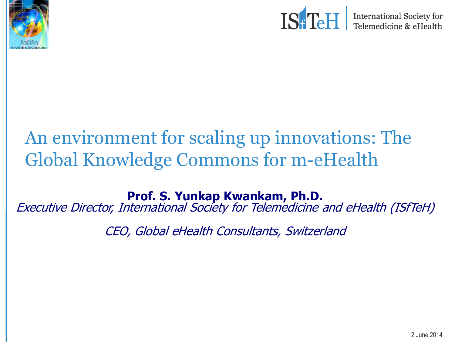



International Society for<br>Telemedicine & eHealth

### An environment for scaling up innovations: The Global Knowledge Commons for m-eHealth

**Prof. S. Yunkap Kwankam, Ph.D.**

Executive Director, International Society for Telemedicine and eHealth (ISfTeH)

CEO, Global eHealth Consultants, Switzerland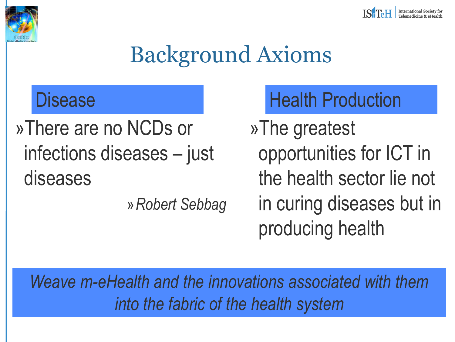



### Background Axioms

»There are no NCDs or infections diseases – just diseases

»*Robert Sebbag*

### Disease **Health Production**

»The greatest opportunities for ICT in the health sector lie not in curing diseases but in producing health

*Weave m-eHealth and the innovations associated with them into the fabric of the health system*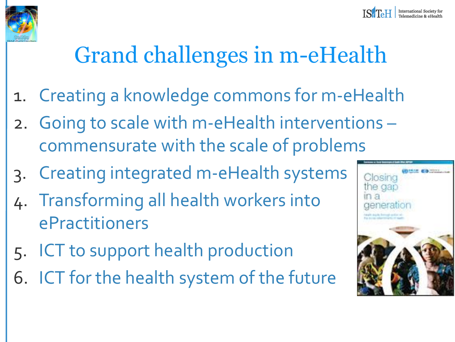

# Grand challenges in m-eHealth

- 1. Creating a knowledge commons for m-eHealth
- 2. Going to scale with m-eHealth interventions commensurate with the scale of problems
- 3. Creating integrated m-eHealth systems
- 4. Transforming all health workers into ePractitioners
- 5. ICT to support health production
- 6. ICT for the health system of the future

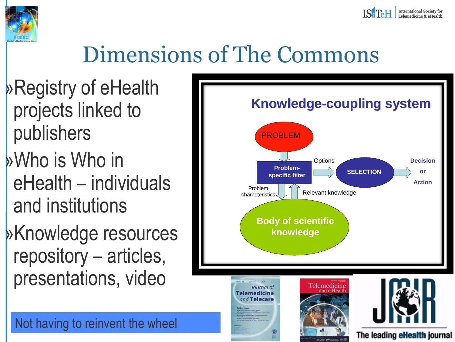



### Dimensions of The Commons

»Registry of eHealth projects linked to publishers

»Who is Who in eHealth – individuals and institutions

»Knowledge resources repository – articles, presentations, video

Not having to reinvent the wheel

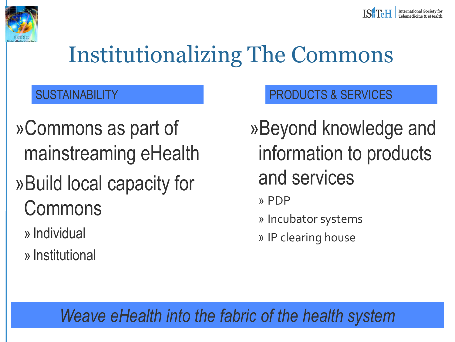



### Institutionalizing The Commons

»Commons as part of mainstreaming eHealth

### »Build local capacity for Commons

» Individual

» Institutional

### SUSTAINABILITY **Example 20 SUSTAINABILITY PRODUCTS & SERVICES**

»Beyond knowledge and information to products and services

» PDP

» Incubator systems

» IP clearing house

### *Weave eHealth into the fabric of the health system*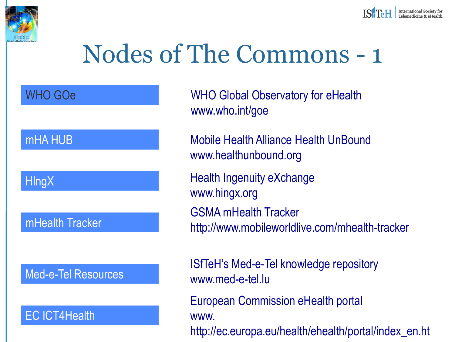

# Nodes of The Commons - 1

WHO GOe

#### mHA HUB

**HIngX** 

#### mHealth Tracker

Med-e-Tel Resources

#### EC ICT4Health

WHO Global Observatory for eHealth www.who.int/goe

Mobile Health Alliance Health UnBound www.healthunbound.org

Health Ingenuity eXchange www.hingx.org GSMA mHealth Tracker http://www.mobileworldlive.com/mhealth-tracker

ISfTeH's Med-e-Tel knowledge repository www.med-e-tel.lu

European Commission eHealth portal www.

http://ec.europa.eu/health/ehealth/portal/index\_en.ht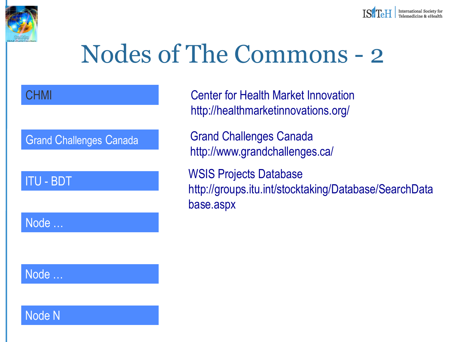



## Nodes of The Commons - 2

#### **CHMI**

#### Grand Challenges Canada

#### ITU - BDT

Node …

Center for Health Market Innovation http://healthmarketinnovations.org/

Grand Challenges Canada http://www.grandchallenges.ca/

WSIS Projects Database http://groups.itu.int/stocktaking/Database/SearchData base.aspx

### Node …

Node N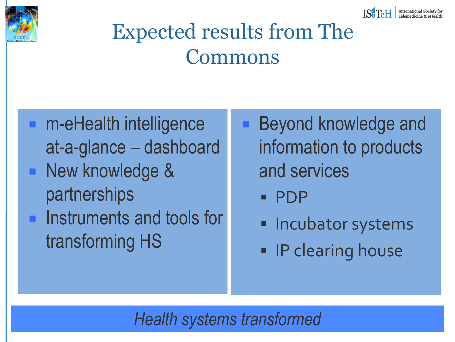



### Expected results from The Commons

- m-eHealth intelligence at-a-glance – dashboard **New knowledge &** partnerships **Instruments and tools for** transforming HS
- Beyond knowledge and information to products and services
	- PDP
	- **Incubator systems**
	- **IP clearing house**

*Health systems transformed*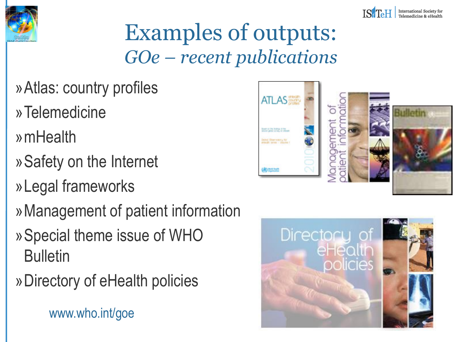



### Examples of outputs: *GOe – recent publications*

- »Atlas: country profiles
- »Telemedicine
- »mHealth
- »Safety on the Internet
- »Legal frameworks
- »Management of patient information
- »Special theme issue of WHO **Bulletin**
- »Directory of eHealth policies

www.who.int/goe



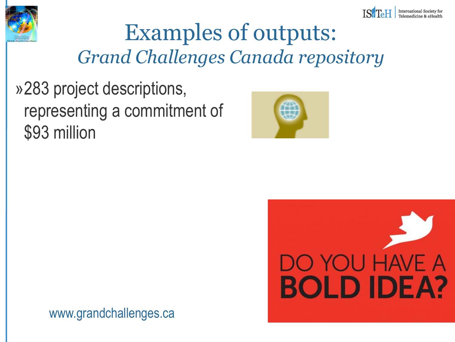



### Examples of outputs: *Grand Challenges Canada repository*

»283 project descriptions, representing a commitment of \$93 million





www.grandchallenges.ca